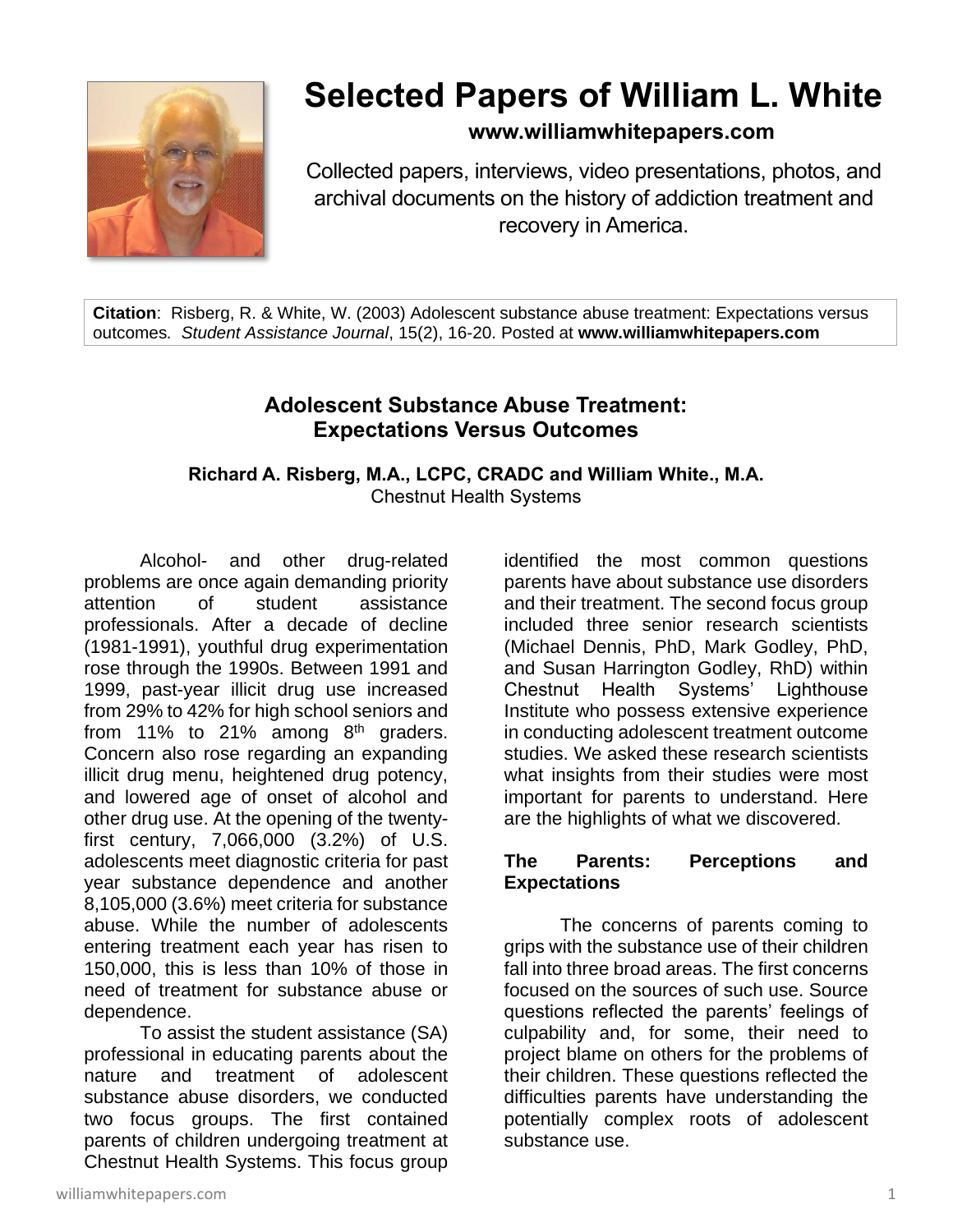

# **Selected Papers of William L. White**

**www.williamwhitepapers.com**

Collected papers, interviews, video presentations, photos, and archival documents on the history of addiction treatment and recovery in America.

**Citation**: Risberg, R. & White, W. (2003) Adolescent substance abuse treatment: Expectations versus outcomes*. Student Assistance Journal*, 15(2), 16-20. Posted at **www.williamwhitepapers.com**

## **Adolescent Substance Abuse Treatment: Expectations Versus Outcomes**

**Richard A. Risberg, M.A., LCPC, CRADC and William White., M.A.** Chestnut Health Systems

Alcohol- and other drug-related problems are once again demanding priority attention of student assistance professionals. After a decade of decline (1981-1991), youthful drug experimentation rose through the 1990s. Between 1991 and 1999, past-year illicit drug use increased from 29% to 42% for high school seniors and from 11% to 21% among  $8<sup>th</sup>$  graders. Concern also rose regarding an expanding illicit drug menu, heightened drug potency, and lowered age of onset of alcohol and other drug use. At the opening of the twentyfirst century, 7,066,000 (3.2%) of U.S. adolescents meet diagnostic criteria for past year substance dependence and another 8,105,000 (3.6%) meet criteria for substance abuse. While the number of adolescents entering treatment each year has risen to 150,000, this is less than 10% of those in need of treatment for substance abuse or dependence.

To assist the student assistance (SA) professional in educating parents about the nature and treatment of adolescent substance abuse disorders, we conducted two focus groups. The first contained parents of children undergoing treatment at Chestnut Health Systems. This focus group

identified the most common questions parents have about substance use disorders and their treatment. The second focus group included three senior research scientists (Michael Dennis, PhD, Mark Godley, PhD, and Susan Harrington Godley, RhD) within Chestnut Health Systems' Lighthouse Institute who possess extensive experience in conducting adolescent treatment outcome studies. We asked these research scientists what insights from their studies were most important for parents to understand. Here are the highlights of what we discovered.

#### **The Parents: Perceptions and Expectations**

The concerns of parents coming to grips with the substance use of their children fall into three broad areas. The first concerns focused on the sources of such use. Source questions reflected the parents' feelings of culpability and, for some, their need to project blame on others for the problems of their children. These questions reflected the difficulties parents have understanding the potentially complex roots of adolescent substance use.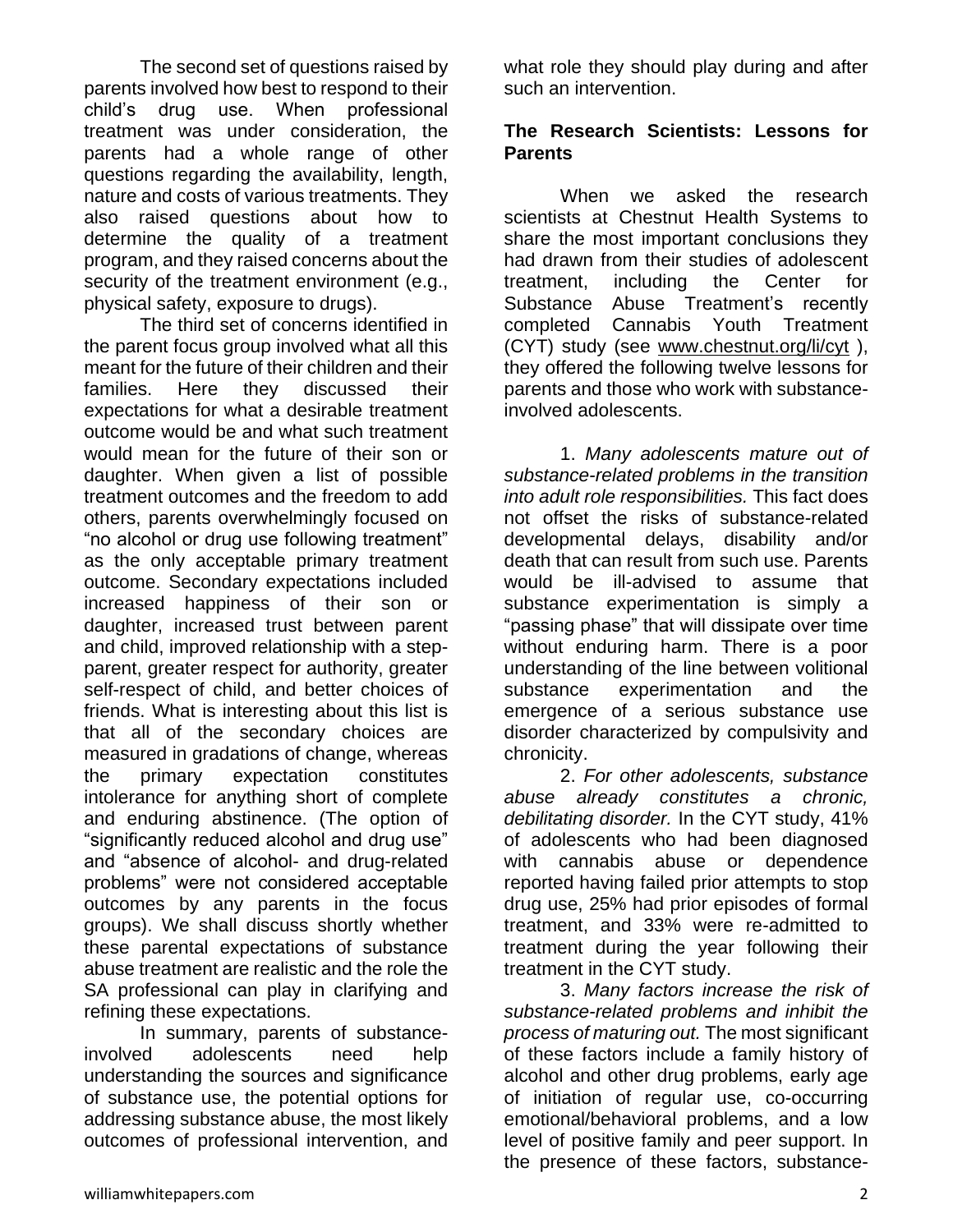The second set of questions raised by parents involved how best to respond to their child's drug use. When professional treatment was under consideration, the parents had a whole range of other questions regarding the availability, length, nature and costs of various treatments. They also raised questions about how to determine the quality of a treatment program, and they raised concerns about the security of the treatment environment (e.g., physical safety, exposure to drugs).

The third set of concerns identified in the parent focus group involved what all this meant for the future of their children and their families. Here they discussed their expectations for what a desirable treatment outcome would be and what such treatment would mean for the future of their son or daughter. When given a list of possible treatment outcomes and the freedom to add others, parents overwhelmingly focused on "no alcohol or drug use following treatment" as the only acceptable primary treatment outcome. Secondary expectations included increased happiness of their son or daughter, increased trust between parent and child, improved relationship with a stepparent, greater respect for authority, greater self-respect of child, and better choices of friends. What is interesting about this list is that all of the secondary choices are measured in gradations of change, whereas the primary expectation constitutes intolerance for anything short of complete and enduring abstinence. (The option of "significantly reduced alcohol and drug use" and "absence of alcohol- and drug-related problems" were not considered acceptable outcomes by any parents in the focus groups). We shall discuss shortly whether these parental expectations of substance abuse treatment are realistic and the role the SA professional can play in clarifying and refining these expectations.

In summary, parents of substanceinvolved adolescents need help understanding the sources and significance of substance use, the potential options for addressing substance abuse, the most likely outcomes of professional intervention, and what role they should play during and after such an intervention.

#### **The Research Scientists: Lessons for Parents**

When we asked the research scientists at Chestnut Health Systems to share the most important conclusions they had drawn from their studies of adolescent treatment, including the Center for Substance Abuse Treatment's recently completed Cannabis Youth Treatment (CYT) study (see [www.chestnut.org/li/cyt](http://www.chestnut.org/li/cyt) ), they offered the following twelve lessons for parents and those who work with substanceinvolved adolescents.

1. *Many adolescents mature out of substance-related problems in the transition into adult role responsibilities.* This fact does not offset the risks of substance-related developmental delays, disability and/or death that can result from such use. Parents would be ill-advised to assume that substance experimentation is simply a "passing phase" that will dissipate over time without enduring harm. There is a poor understanding of the line between volitional substance experimentation and the emergence of a serious substance use disorder characterized by compulsivity and chronicity.

2. *For other adolescents, substance abuse already constitutes a chronic, debilitating disorder.* In the CYT study, 41% of adolescents who had been diagnosed with cannabis abuse or dependence reported having failed prior attempts to stop drug use, 25% had prior episodes of formal treatment, and 33% were re-admitted to treatment during the year following their treatment in the CYT study.

3. *Many factors increase the risk of substance-related problems and inhibit the process of maturing out.* The most significant of these factors include a family history of alcohol and other drug problems, early age of initiation of regular use, co-occurring emotional/behavioral problems, and a low level of positive family and peer support. In the presence of these factors, substance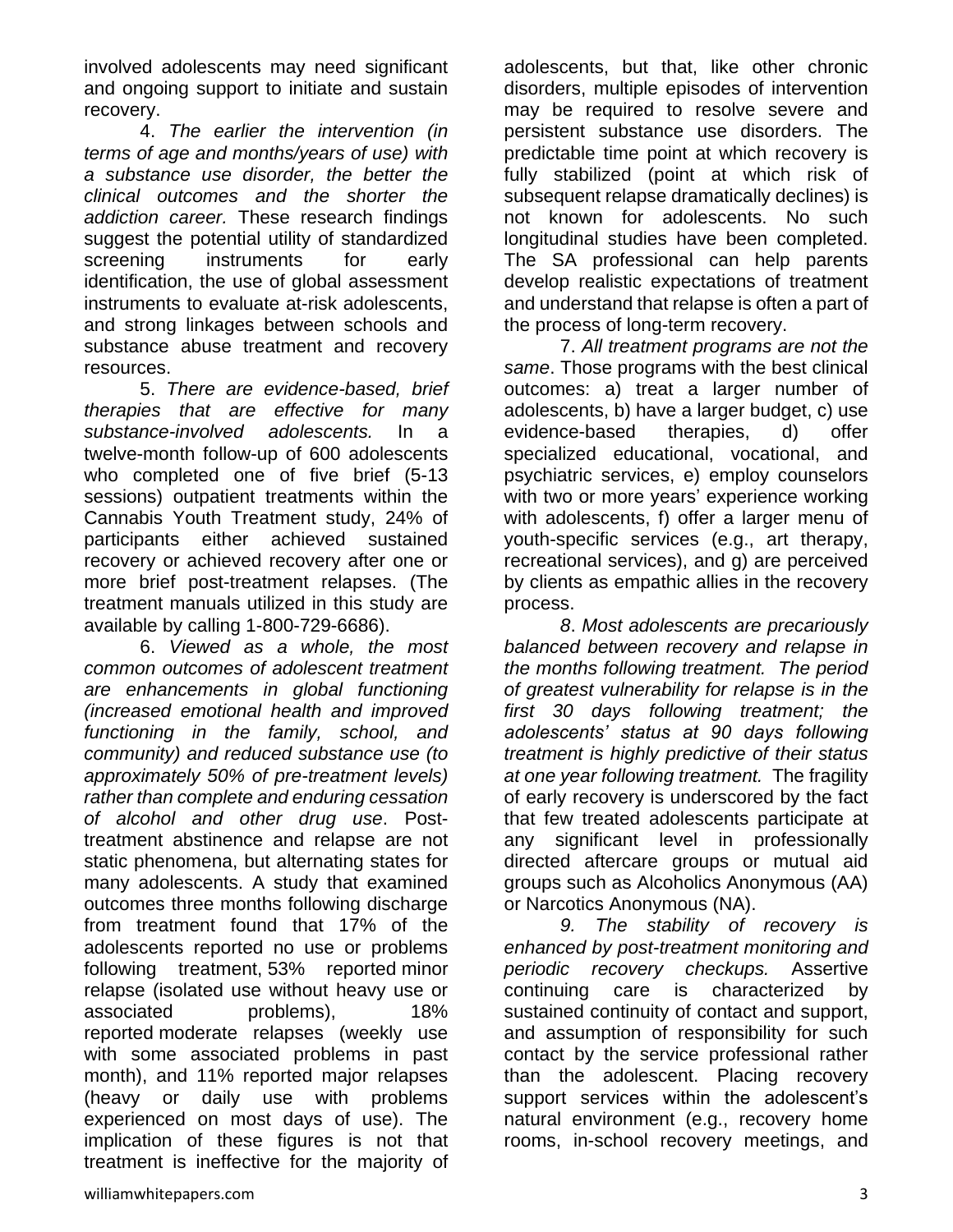involved adolescents may need significant and ongoing support to initiate and sustain recovery.

4. *The earlier the intervention (in terms of age and months/years of use) with a substance use disorder, the better the clinical outcomes and the shorter the addiction career.* These research findings suggest the potential utility of standardized screening instruments for early identification, the use of global assessment instruments to evaluate at-risk adolescents, and strong linkages between schools and substance abuse treatment and recovery resources.

5. *There are evidence-based, brief therapies that are effective for many substance-involved adolescents.* In a twelve-month follow-up of 600 adolescents who completed one of five brief (5-13 sessions) outpatient treatments within the Cannabis Youth Treatment study, 24% of participants either achieved sustained recovery or achieved recovery after one or more brief post-treatment relapses. (The treatment manuals utilized in this study are available by calling 1-800-729-6686).

6. *Viewed as a whole, the most common outcomes of adolescent treatment are enhancements in global functioning (increased emotional health and improved functioning in the family, school, and community) and reduced substance use (to approximately 50% of pre-treatment levels) rather than complete and enduring cessation of alcohol and other drug use*. Posttreatment abstinence and relapse are not static phenomena, but alternating states for many adolescents. A study that examined outcomes three months following discharge from treatment found that 17% of the adolescents reported no use or problems following treatment, 53% reported minor relapse (isolated use without heavy use or associated problems), 18% reported moderate relapses (weekly use with some associated problems in past month), and 11% reported major relapses (heavy or daily use with problems experienced on most days of use). The implication of these figures is not that treatment is ineffective for the majority of adolescents, but that, like other chronic disorders, multiple episodes of intervention may be required to resolve severe and persistent substance use disorders. The predictable time point at which recovery is fully stabilized (point at which risk of subsequent relapse dramatically declines) is not known for adolescents. No such longitudinal studies have been completed. The SA professional can help parents develop realistic expectations of treatment and understand that relapse is often a part of the process of long-term recovery.

7. *All treatment programs are not the same*. Those programs with the best clinical outcomes: a) treat a larger number of adolescents, b) have a larger budget, c) use evidence-based therapies, d) offer specialized educational, vocational, and psychiatric services, e) employ counselors with two or more years' experience working with adolescents, f) offer a larger menu of youth-specific services (e.g., art therapy, recreational services), and g) are perceived by clients as empathic allies in the recovery process.

*8*. *Most adolescents are precariously balanced between recovery and relapse in the months following treatment. The period of greatest vulnerability for relapse is in the first 30 days following treatment; the adolescents' status at 90 days following treatment is highly predictive of their status at one year following treatment.* The fragility of early recovery is underscored by the fact that few treated adolescents participate at any significant level in professionally directed aftercare groups or mutual aid groups such as Alcoholics Anonymous (AA) or Narcotics Anonymous (NA).

*9. The stability of recovery is enhanced by post-treatment monitoring and periodic recovery checkups.* Assertive continuing care is characterized by sustained continuity of contact and support, and assumption of responsibility for such contact by the service professional rather than the adolescent. Placing recovery support services within the adolescent's natural environment (e.g., recovery home rooms, in-school recovery meetings, and